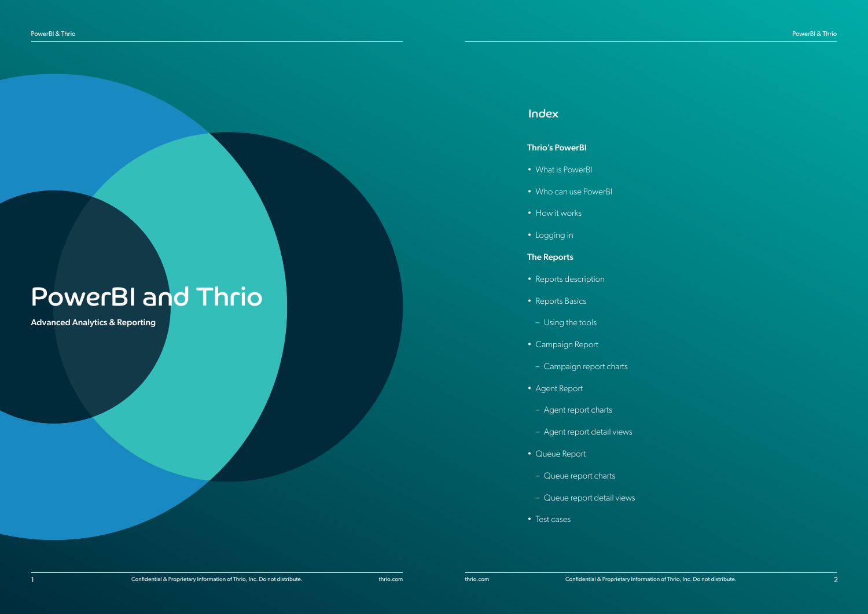- What is PowerBI  **What is PowerBI**
- Who can use PowerBI
- How it works  $\bullet$  is the dolorrow fugiature of  $\bullet$
- Logging in

### The Reports about the contract of the contract of the contract of the contract of the contract of the contract of the contract of the contract of the contract of the contract of the contract of the contract of the contract

- Reports description  **Reports description**
- Reports Basics and the verus of the vertex of the vertex of the vertex of the vertex of the vertex of the vertex of the vertex of the vertex of the vertex of the vertex of the vertex of the vertex of the vertex of the ve
- ut et accum repersying the tools rem repeats of the contract of the contract of the contract of the contract of
- Campaign Report **Figure 2018**
- Campaign report charts
- Agent Report at the number of the state
- Agent report charts and minimized with rem fugi
- Agent report detail views.
- Queue Report int a quasitivity of a quasitivity of a quasitivity of a quasitivity of a quasitivity of a set
- Queue report charts
- Queue report detail views et al.
- Test cases  **Test cases**

# PowerBI and Thrio

Advanced Analytics & Reporting

### ullecae et official et official et official et official et official et official et official et official et of

### **Thrio's PowerBI** and magnitude the magnitude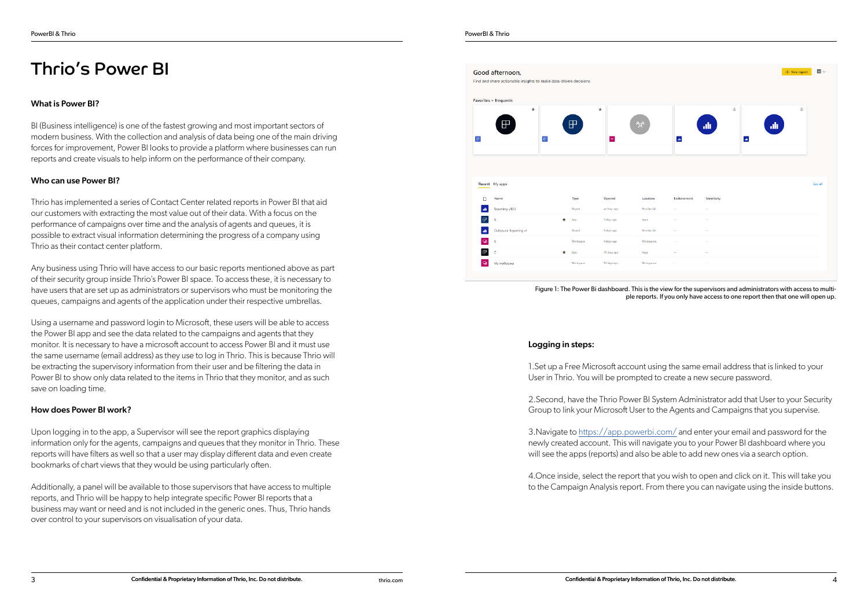## Thrio's Power BI

#### What is Power BI?

BI (Business intelligence) is one of the fastest growing and most important sectors of modern business. With the collection and analysis of data being one of the main driving forces for improvement, Power BI looks to provide a platform where businesses can run reports and create visuals to help inform on the performance of their company.

### Who can use Power BI?

Thrio has implemented a series of Contact Center related reports in Power BI that aid our customers with extracting the most value out of their data. With a focus on the performance of campaigns over time and the analysis of agents and queues, it is possible to extract visual information determining the progress of a company using Thrio as their contact center platform.

Any business using Thrio will have access to our basic reports mentioned above as part of their security group inside Thrio's Power BI space. To access these, it is necessary to have users that are set up as administrators or supervisors who must be monitoring the queues, campaigns and agents of the application under their respective umbrellas.

Using a username and password login to Microsoft, these users will be able to access the Power BI app and see the data related to the campaigns and agents that they monitor. It is necessary to have a microsoft account to access Power BI and it must use the same username (email address) as they use to log in Thrio. This is because Thrio will be extracting the supervisory information from their user and be filtering the data in Power BI to show only data related to the items in Thrio that they monitor, and as such save on loading time.

### How does Power BI work?

Upon logging in to the app, a Supervisor will see the report graphics displaying information only for the agents, campaigns and queues that they monitor in Thrio. These reports will have filters as well so that a user may display different data and even create bookmarks of chart views that they would be using particularly often.

Additionally, a panel will be available to those supervisors that have access to multiple reports, and Thrio will be happy to help integrate specific Power BI reports that a business may want or need and is not included in the generic ones. Thus, Thrio hands over control to your supervisors on visualisation of your data.





A days act

10 days ago

10 days an

#### Logging in steps:

1.Set up a Free Microsoft account using the same email address that is linked to your User in Thrio. You will be prompted to create a new secure password.

2.Second, have the Thrio Power BI System Administrator add that User to your Security Group to link your Microsoft User to the Agents and Campaigns that you supervise.

3.Navigate to <https://app.powerbi.com/> and enter your email and password for the newly created account. This will navigate you to your Power BI dashboard where you will see the apps (reports) and also be able to add new ones via a search option.

4.Once inside, select the report that you wish to open and click on it. This will take you to the Campaign Analysis report. From there you can navigate using the inside buttons.

|                          |                          |   |            |                | $+$ New report |   | $\equiv$ $\sim$ |  |
|--------------------------|--------------------------|---|------------|----------------|----------------|---|-----------------|--|
|                          |                          |   |            |                |                |   |                 |  |
|                          |                          | ☆ |            |                |                | ☆ |                 |  |
| $\Delta \mathbf{h}$      | $\mathbf{d}$             |   | $\Delta t$ | $\blacksquare$ |                |   |                 |  |
|                          |                          |   |            |                |                |   |                 |  |
|                          |                          |   |            |                |                |   |                 |  |
|                          |                          |   |            |                |                |   | See all         |  |
| Endorsement              | Sensitivity              |   |            |                |                |   |                 |  |
| $\overline{\phantom{0}}$ | $\overline{\phantom{a}}$ |   |            |                |                |   |                 |  |
|                          |                          |   |            |                |                |   |                 |  |
|                          |                          |   |            |                |                |   |                 |  |
|                          | $\frac{1}{2}$            |   |            |                |                |   |                 |  |
|                          | $\overline{\phantom{m}}$ |   |            |                |                |   |                 |  |
|                          |                          |   |            |                |                |   |                 |  |
|                          |                          |   |            |                |                |   |                 |  |

Figure 1: The Power Bi dashboard. This is the view for the supervisors and administrators with access to multiple reports. If you only have access to one report then that one will open up.

 $\textcolor{red}{\blacksquare}$ 

 $\mathbbmss{F}$ 

 $\textcolor{red}{\bullet}$ 

Maximaalaansa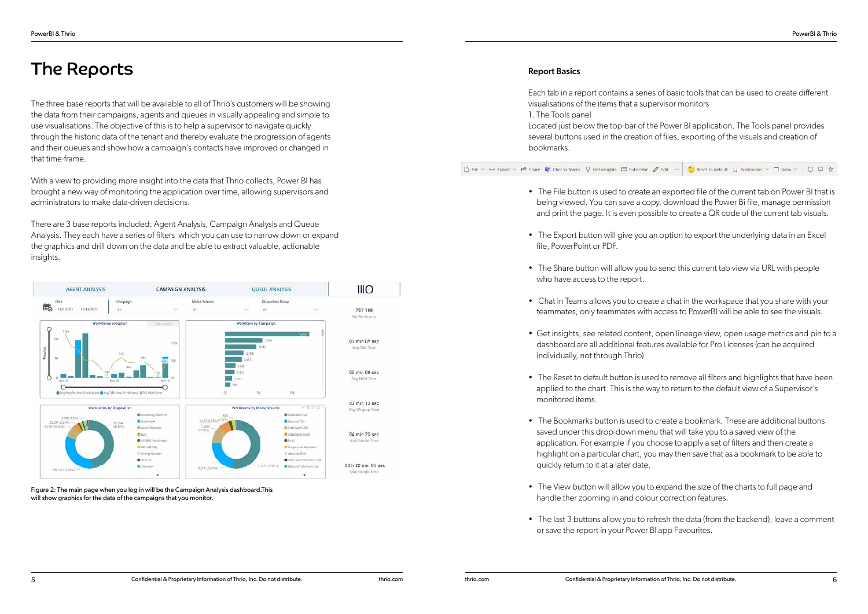# The Reports

The three base reports that will be available to all of Thrio's customers will be showing the data from their campaigns, agents and queues in visually appealing and simple to use visualisations. The objective of this is to help a supervisor to navigate quickly through the historic data of the tenant and thereby evaluate the progression of agents and their queues and show how a campaign's contacts have improved or changed in that time-frame.

With a view to providing more insight into the data that Thrio collects, Power BI has brought a new way of monitoring the application over time, allowing supervisors and administrators to make data-driven decisions.

• The File button is used to create an exported file of the current tab on Power BI that is being viewed. You can save a copy, download the Power Bi file, manage permission and print the page. It is even possible to create a QR code of the current tab visuals.

• The Export button will give you an option to export the underlying data in an Excel

• The Share button will allow you to send this current tab view via URL with people

There are 3 base reports included: Agent Analysis, Campaign Analysis and Queue Analysis. They each have a series of filters which you can use to narrow down or expand the graphics and drill down on the data and be able to extract valuable, actionable insights.



### Report Basics

• Chat in Teams allows you to create a chat in the workspace that you share with your teammates, only teammates with access to PowerBI will be able to see the visuals.

Each tab in a report contains a series of basic tools that can be used to create different visualisations of the items that a supervisor monitors 1. The Tools panel Located just below the top-bar of the Power BI application. The Tools panel provides several buttons used in the creation of files, exporting of the visuals and creation of bookmarks.

• The Reset to default button is used to remove all filters and highlights that have been applied to the chart. This is the way to return to the default view of a Supervisor's

• The Bookmarks button is used to create a bookmark. These are additional buttons saved under this drop-down menu that will take you to a saved view of the application. For example if you choose to apply a set of filters and then create a highlight on a particular chart, you may then save that as a bookmark to be able to

• The View button will allow you to expand the size of the charts to full page and

• The last 3 buttons allow you to refresh the data (from the backend), leave a comment

• Get insights, see related content, open lineage view, open usage metrics and pin to a dashboard are all additional features available for Pro Licenses (can be acquired

- 
- file, PowerPoint or PDF.
- who have access to the report.
- 
- individually, not through Thrio).
- monitored items.
- quickly return to it at a later date.
- handle ther zooming in and colour correction features.
- or save the report in your Power BI app Favourites.

Figure 2: The main page when you log in will be the Campaign Analysis dashboard.This will show graphics for the data of the campaigns that you monitor.

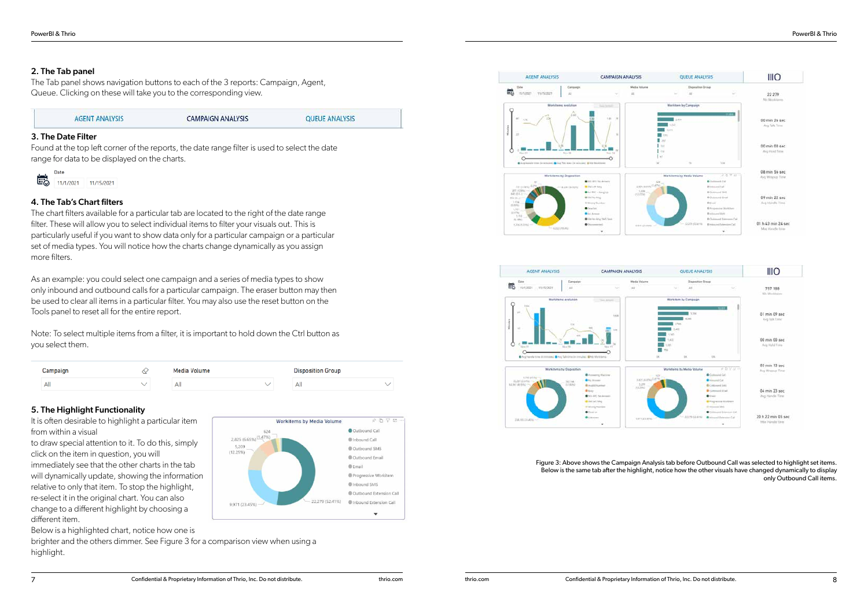### 2. The Tab panel

The Tab panel shows navigation buttons to each of the 3 reports: Campaign, Agent, Queue. Clicking on these will take you to the corresponding view.

### **AGENT ANALYSIS**

**CAMPAIGN ANALYSIS** 

**QUEUE ANALYSIS** 

### 3. The Date Filter

Found at the top left corner of the reports, the date range filter is used to select the date range for data to be displayed on the charts.



### 4. The Tab's Chart filters

The chart filters available for a particular tab are located to the right of the date range filter. These will allow you to select individual items to filter your visuals out. This is particularly useful if you want to show data only for a particular campaign or a particular set of media types. You will notice how the charts change dynamically as you assign more filters.

As an example: you could select one campaign and a series of media types to show only inbound and outbound calls for a particular campaign. The eraser button may then be used to clear all items in a particular filter. You may also use the reset button on the Tools panel to reset all for the entire report.

Note: To select multiple items from a filter, it is important to hold down the Ctrl button as you select them.

| Campaign | ∼ | Media Volume |  |     | <b>Disposition Group</b> |  |  |  |
|----------|---|--------------|--|-----|--------------------------|--|--|--|
| All      |   | Αll          |  | All |                          |  |  |  |

### 5. The Highlight Functionality

It is often desirable to highlight a particular item from within a visual

to draw special attention to it. To do this, simply click on the item in question, you will

immediately see that the other charts in the tab will dynamically update, showing the information relative to only that item. To stop the highlight, re-select it in the original chart. You can also change to a different highlight by choosing a different item.

Below is a highlighted chart, notice how one is

brighter and the others dimmer. See Figure 3 for a comparison view when using a highlight.





Figure 3: Above shows the Campaign Analysis tab before Outbound Call was selected to highlight set items. Below is the same tab after the highlight, notice how the other visuals have changed dynamically to display only Outbound Call items.



Workitems by Media Volume



 $\hat{z}$   $\cap$   $\nabla$  E

Cuthound Call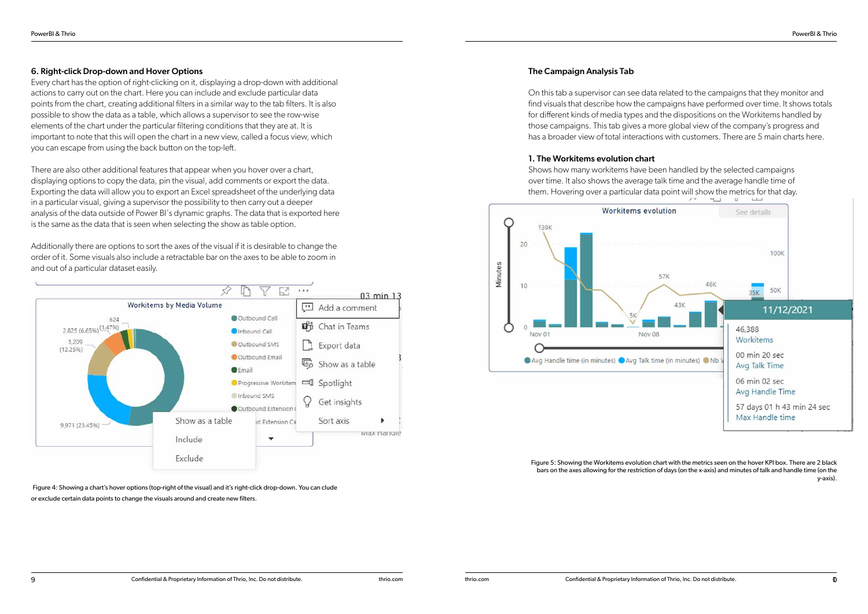### 6. Right-click Drop-down and Hover Options

Every chart has the option of right-clicking on it, displaying a drop-down with additional actions to carry out on the chart. Here you can include and exclude particular data points from the chart, creating additional filters in a similar way to the tab filters. It is also possible to show the data as a table, which allows a supervisor to see the row-wise elements of the chart under the particular filtering conditions that they are at. It is important to note that this will open the chart in a new view, called a focus view, which you can escape from using the back button on the top-left.

There are also other additional features that appear when you hover over a chart, displaying options to copy the data, pin the visual, add comments or export the data. Exporting the data will allow you to export an Excel spreadsheet of the underlying data in a particular visual, giving a supervisor the possibility to then carry out a deeper analysis of the data outside of Power BI´s dynamic graphs. The data that is exported here is the same as the data that is seen when selecting the show as table option.

Additionally there are options to sort the axes of the visual if it is desirable to change the order of it. Some visuals also include a retractable bar on the axes to be able to zoom in and out of a particular dataset easily.



Figure 4: Showing a chart's hover options (top-right of the visual) and it's right-click drop-down. You can clude or exclude certain data points to change the visuals around and create new filters.

### The Campaign Analysis Tab

On this tab a supervisor can see data related to the campaigns that they monitor and find visuals that describe how the campaigns have performed over time. It shows totals for different kinds of media types and the dispositions on the Workitems handled by those campaigns. This tab gives a more global view of the company's progress and has a broader view of total interactions with customers. There are 5 main charts here.

### 1. The Workitems evolution chart

Shows how many workitems have been handled by the selected campaigns over time. It also shows the average talk time and the average handle time of them. Hovering over a particular data point will show the metrics for that day.



Figure 5: Showing the Workitems evolution chart with the metrics seen on the hover KPI box. There are 2 black bars on the axes allowing for the restriction of days (on the x-axis) and minutes of talk and handle time (on the y-axis).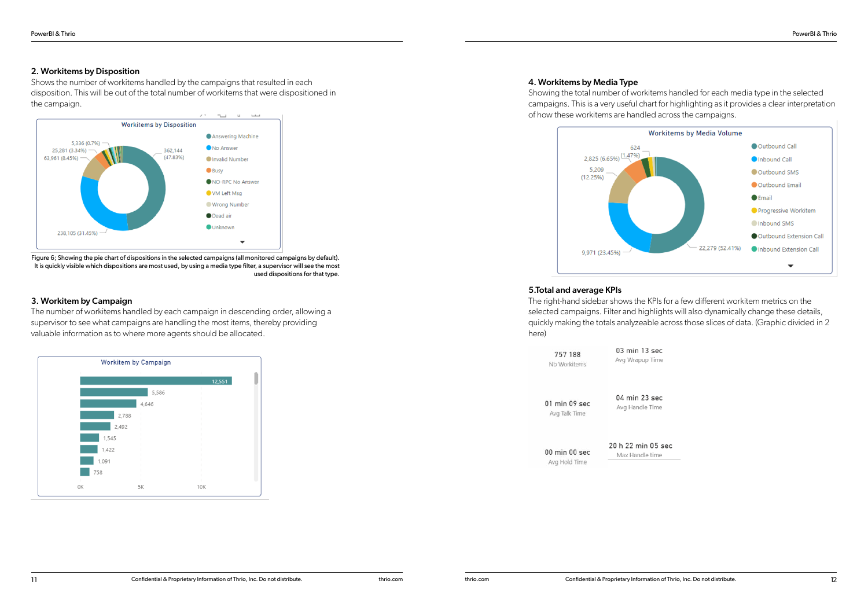### 2. Workitems by Disposition

Shows the number of workitems handled by the campaigns that resulted in each disposition. This will be out of the total number of workitems that were dispositioned in the campaign.



Figure 6; Showing the pie chart of dispositions in the selected campaigns (all monitored campaigns by default). It is quickly visible which dispositions are most used, by using a media type filter, a supervisor will see the most used dispositions for that type.

### 3. Workitem by Campaign

The number of workitems handled by each campaign in descending order, allowing a supervisor to see what campaigns are handling the most items, thereby providing valuable information as to where more agents should be allocated.



### 4. Workitems by Media Type

Showing the total number of workitems handled for each media type in the selected campaigns. This is a very useful chart for highlighting as it provides a clear interpretation of how these workitems are handled across the campaigns.



### 5.Total and average KPIs

The right-hand sidebar shows the KPIs for a few different workitem metrics on the selected campaigns. Filter and highlights will also dynamically change these details, quickly making the totals analyzeable across those slices of data. (Graphic divided in 2 here)

757 188 Nb Workitems 03 min 13 sec Avg Wrapup Time

01 min 09 sec Avg Talk Time

04 min 23 sec Avg Handle Time

20 h 22 min 05 sec 00 min 00 sec Max Handle time Avg Hold Time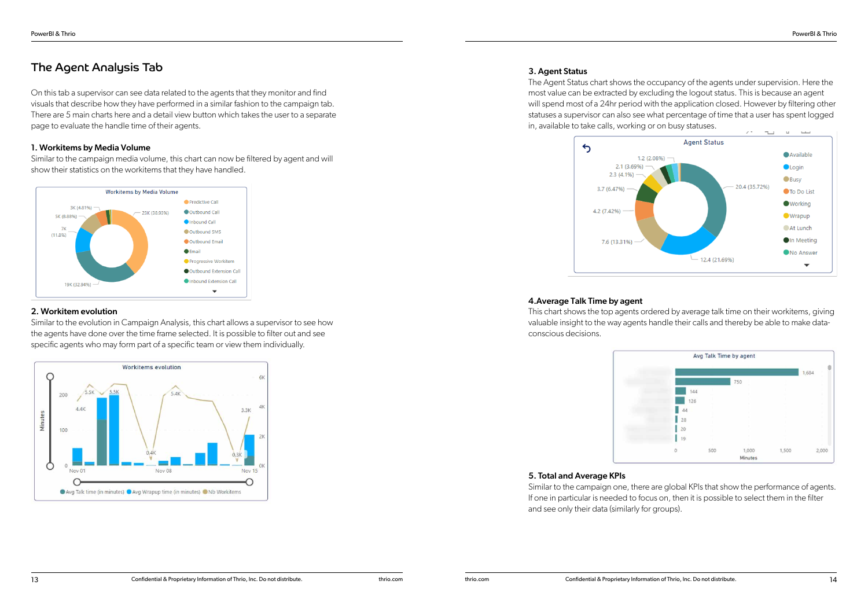### The Agent Analysis Tab

On this tab a supervisor can see data related to the agents that they monitor and find visuals that describe how they have performed in a similar fashion to the campaign tab. There are 5 main charts here and a detail view button which takes the user to a separate page to evaluate the handle time of their agents.

### 1. Workitems by Media Volume

Similar to the campaign media volume, this chart can now be filtered by agent and will show their statistics on the workitems that they have handled.



### 2. Workitem evolution

Similar to the evolution in Campaign Analysis, this chart allows a supervisor to see how the agents have done over the time frame selected. It is possible to filter out and see specific agents who may form part of a specific team or view them individually.



### 3. Agent Status

The Agent Status chart shows the occupancy of the agents under supervision. Here the most value can be extracted by excluding the logout status. This is because an agent will spend most of a 24hr period with the application closed. However by filtering other statuses a supervisor can also see what percentage of time that a user has spent logged in, available to take calls, working or on busy statuses.



### 4.Average Talk Time by agent

This chart shows the top agents ordered by average talk time on their workitems, giving valuable insight to the way agents handle their calls and thereby be able to make dataconscious decisions.



### 5. Total and Average KPIs

Similar to the campaign one, there are global KPIs that show the performance of agents. If one in particular is needed to focus on, then it is possible to select them in the filter and see only their data (similarly for groups).

| Avg Talk Time by agent |     |                |       |            |
|------------------------|-----|----------------|-------|------------|
|                        |     |                |       | 1,684<br>٠ |
|                        |     | 750            |       | ٠<br>٠     |
| 144                    |     | ×              |       | ١          |
| 126                    |     | $\mathbb{R}^2$ |       | ٠          |
| 44                     |     | r              |       | ×          |
| 28                     |     | ×              |       | ٠          |
| 20                     |     | ۲              |       | ٠          |
| 19                     |     | ٠              |       | ٠          |
| ö                      | 500 | 1,000          | 1,500 | 2,000      |
|                        |     | Minutes        |       |            |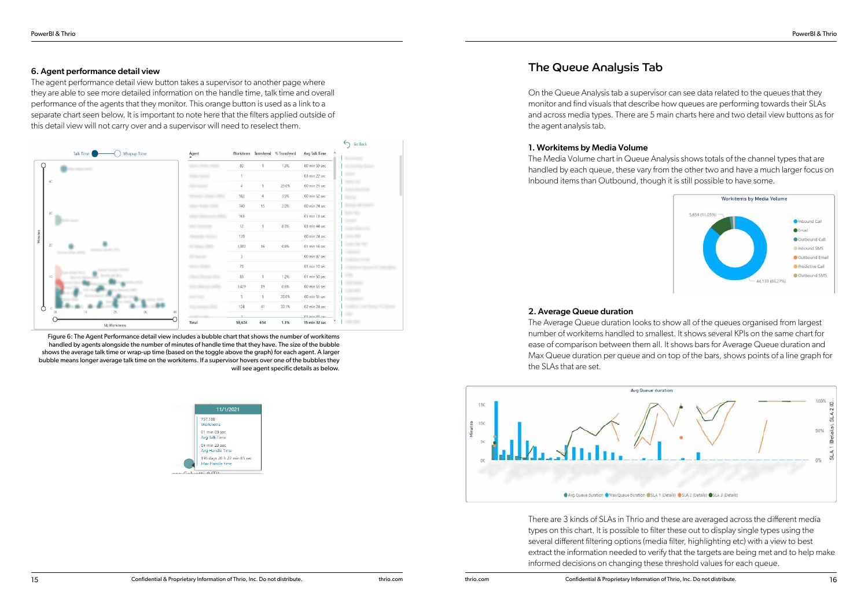### 6. Agent performance detail view

The agent performance detail view button takes a supervisor to another page where they are able to see more detailed information on the handle time, talk time and overall performance of the agents that they monitor. This orange button is used as a link to a separate chart seen below. It is important to note here that the filters applied outside of this detail view will not carry over and a supervisor will need to reselect them.



Figure 6: The Agent Performance detail view includes a bubble chart that shows the number of workitems handled by agents alongside the number of minutes of handle time that they have. The size of the bubble shows the average talk time or wrap-up time (based on the toggle above the graph) for each agent. A larger bubble means longer average talk time on the workitems. If a supervisor hovers over one of the bubbles they will see agent specific details as below.



### The Queue Analysis Tab

On the Queue Analysis tab a supervisor can see data related to the queues that they monitor and find visuals that describe how queues are performing towards their SLAs and across media types. There are 5 main charts here and two detail view buttons as for the agent analysis tab.

### 1. Workitems by Media Volume

The Media Volume chart in Queue Analysis shows totals of the channel types that are handled by each queue, these vary from the other two and have a much larger focus on Inbound items than Outbound, though it is still possible to have some.

### 2. Average Queue duration

The Average Queue duration looks to show all of the queues organised from largest number of workitems handled to smallest. It shows several KPIs on the same chart for ease of comparison between them all. It shows bars for Average Queue duration and Max Queue duration per queue and on top of the bars, shows points of a line graph for the SLAs that are set.



There are 3 kinds of SLAs in Thrio and these are averaged across the different media types on this chart. It is possible to filter these out to display single types using the several different filtering options (media filter, highlighting etc) with a view to best extract the information needed to verify that the targets are being met and to help make informed decisions on changing these threshold values for each queue.

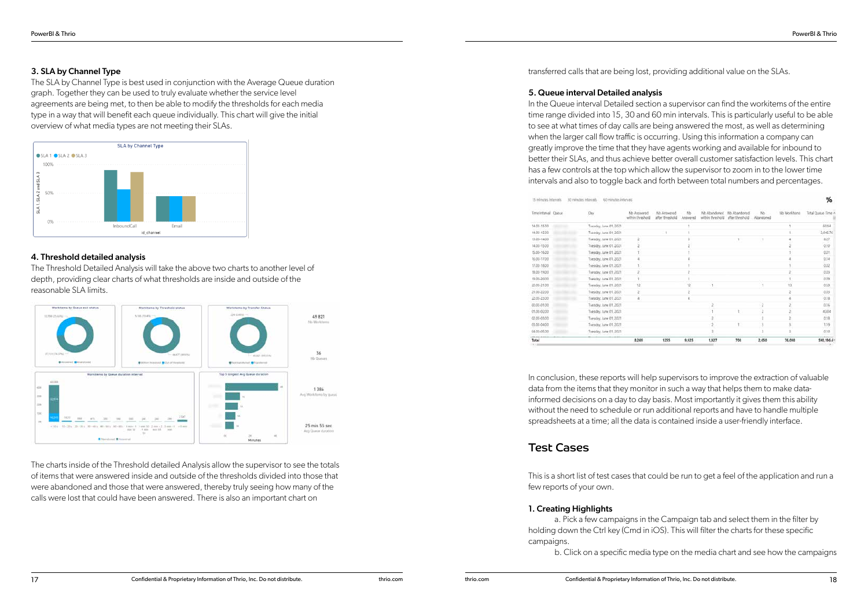### 3. SLA by Channel Type

The SLA by Channel Type is best used in conjunction with the Average Queue duration graph. Together they can be used to truly evaluate whether the service level agreements are being met, to then be able to modify the thresholds for each media type in a way that will benefit each queue individually. This chart will give the initial overview of what media types are not meeting their SLAs.



### 4. Threshold detailed analysis

The Threshold Detailed Analysis will take the above two charts to another level of depth, providing clear charts of what thresholds are inside and outside of the reasonable SLA limits.



The charts inside of the Threshold detailed Analysis allow the supervisor to see the totals of items that were answered inside and outside of the thresholds divided into those that were abandoned and those that were answered, thereby truly seeing how many of the calls were lost that could have been answered. There is also an important chart on

transferred calls that are being lost, providing additional value on the SLAs.

#### 5. Queue interval Detailed analysis

In the Queue interval Detailed section a supervisor can find the workitems of the entire time range divided into 15, 30 and 60 min intervals. This is particularly useful to be able to see at what times of day calls are being answered the most, as well as determining when the larger call flow traffic is occurring. Using this information a company can greatly improve the time that they have agents working and available for inbound to better their SLAs, and thus achieve better overall customer satisfaction levels. This chart has a few controls at the top which allow the supervisor to zoom in to the lower time intervals and also to toggle back and forth between total numbers and percentages.

| Time Interval Quece | Day<br>ನ ನಿರ್           | benwork dM<br>within threshold | No.Antwered<br>after threshold | Nb<br>Annivered | Nb-Ahandoned<br>within threshold | Nb Abandoned<br>after threshold | Nb.<br>Abandoned | No Workitems | Total Queue Time A |
|---------------------|-------------------------|--------------------------------|--------------------------------|-----------------|----------------------------------|---------------------------------|------------------|--------------|--------------------|
| 14.05-15.00         | Transday, June 01, 2021 |                                |                                |                 |                                  |                                 |                  |              | 65.64              |
| 14.00-15.00         | Tuesday, June 01, 2021  |                                |                                |                 |                                  |                                 |                  |              | 2,046.76           |
| 13.00-14.00         | Tuesday: June 01, 2021  |                                |                                |                 |                                  |                                 |                  |              | 627                |
| 14.00-15.00         | Tuesday, June 01, 2021  |                                |                                |                 |                                  |                                 |                  |              | 0.10               |
| 15.00-16.00         | Tuesday, June 01, 2021  |                                |                                |                 |                                  |                                 |                  |              | <b>ODT</b>         |
| 16.00-17.00         | Tuesday, June 01, 2021  |                                |                                |                 |                                  |                                 |                  |              | 3,14               |
| 17.00-18.00         | Tuesday, June 01, 2021  |                                |                                |                 |                                  |                                 |                  |              | 0.02               |
| 18.00-19.00         | Tuesday, June 01, 2021  |                                |                                |                 |                                  |                                 |                  |              | 机的                 |
| 19:00-20:00         | Tuesday, June 01, 2021  |                                |                                |                 |                                  |                                 |                  |              | 0.09               |
| 20.00-21.00         | Tuesday, June 01, 2021  | 12                             |                                | 12              |                                  |                                 |                  | 13           | 0.59               |
| 21:00-22:00         | Tuesday: June 01. 2021  |                                |                                |                 |                                  |                                 |                  |              | 0.03               |
| 22.00-23.00         | Tuesday, June 01, 2021  |                                |                                |                 |                                  |                                 |                  |              | 0.18               |
| 00.00-01.00         | Tuesday, June 01, 2021  |                                |                                |                 |                                  |                                 |                  |              | 0.16               |
| 01.00-02.00         | Tuesday: June 01, 2021  |                                |                                |                 |                                  |                                 |                  |              | 43.04              |
| 02.05-03.00         | Tuesday, June 01, 2021  |                                |                                |                 |                                  |                                 |                  |              | 0.18               |
| 03.00-04.00         | Tuesday, June 01, 2021  |                                |                                |                 |                                  |                                 |                  |              | 119                |
| 04.00-05.00         | Tuesday, June 01, 2021  |                                |                                |                 |                                  |                                 |                  |              | 0.10               |
| Total               |                         | 8,269                          | 1255                           | 9,025           | 1,927                            | 708                             | 2,650            | 76,098       | 590.196.6-         |

In conclusion, these reports will help supervisors to improve the extraction of valuable data from the items that they monitor in such a way that helps them to make datainformed decisions on a day to day basis. Most importantly it gives them this ability without the need to schedule or run additional reports and have to handle multiple spreadsheets at a time; all the data is contained inside a user-friendly interface.

### Test Cases

This is a short list of test cases that could be run to get a feel of the application and run a few reports of your own.

### 1. Creating Highlights

a. Pick a few campaigns in the Campaign tab and select them in the filter by holding down the Ctrl key (Cmd in iOS). This will filter the charts for these specific campaigns.

b. Click on a specific media type on the media chart and see how the campaigns